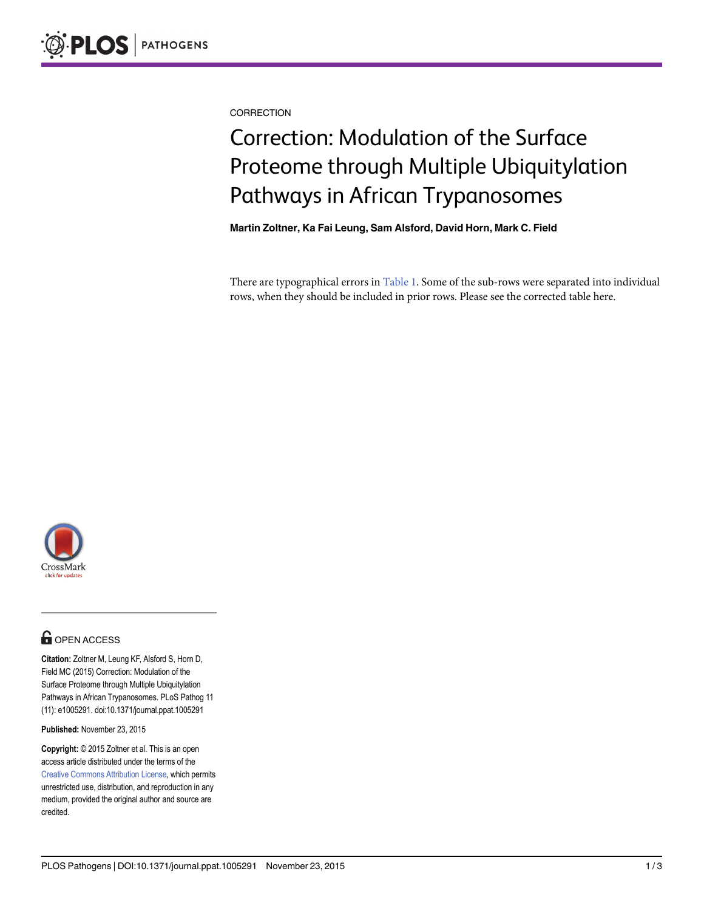<span id="page-0-0"></span>**CORRECTION** 

# Correction: Modulation of the Surface Proteome through Multiple Ubiquitylation Pathways in African Trypanosomes

Martin Zoltner, Ka Fai Leung, Sam Alsford, David Horn, Mark C. Field

There are typographical errors in [Table 1](#page-1-0). Some of the sub-rows were separated into individual rows, when they should be included in prior rows. Please see the corrected table here.



## **G** OPEN ACCESS

Citation: Zoltner M, Leung KF, Alsford S, Horn D, Field MC (2015) Correction: Modulation of the Surface Proteome through Multiple Ubiquitylation Pathways in African Trypanosomes. PLoS Pathog 11 (11): e1005291. doi:10.1371/journal.ppat.1005291

Published: November 23, 2015

Copyright: © 2015 Zoltner et al. This is an open access article distributed under the terms of the [Creative Commons Attribution License,](http://creativecommons.org/licenses/by/4.0/) which permits unrestricted use, distribution, and reproduction in any medium, provided the original author and source are credited.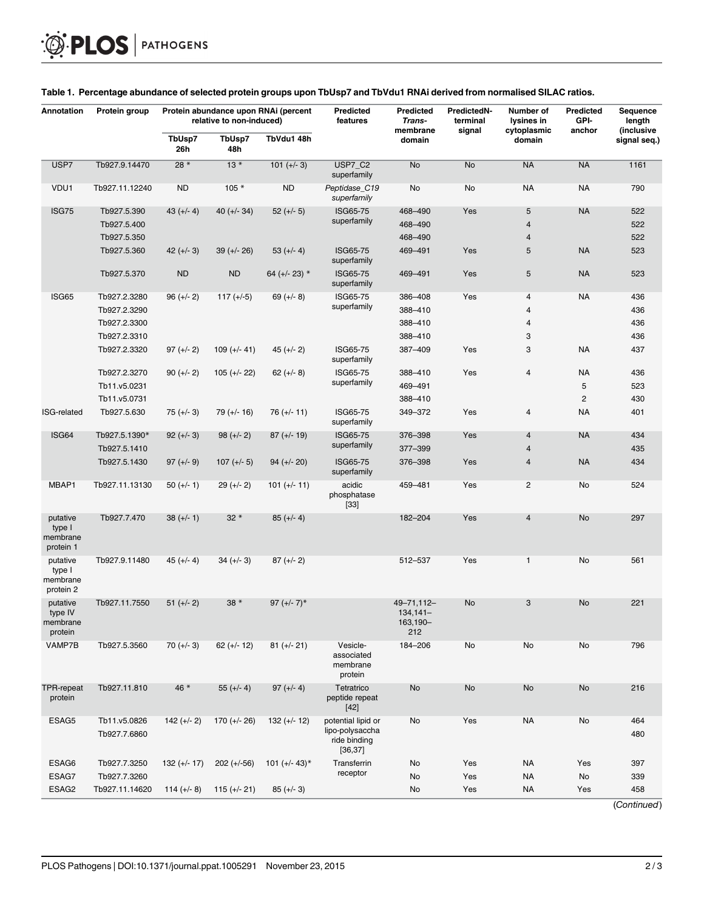| Annotation                                  | Protein group                             | Protein abundance upon RNAi (percent<br>relative to non-induced) |                |                  | Predicted<br>features                                             | <b>Predicted</b><br>Trans-<br>membrane      | PredictedN-<br>terminal<br>signal | Number of<br>lysines in<br>cytoplasmic         | <b>Predicted</b><br>GPI-<br>anchor | Sequence<br>length<br>(inclusive |
|---------------------------------------------|-------------------------------------------|------------------------------------------------------------------|----------------|------------------|-------------------------------------------------------------------|---------------------------------------------|-----------------------------------|------------------------------------------------|------------------------------------|----------------------------------|
|                                             |                                           | TbUsp7<br>26h                                                    | TbUsp7<br>48h  | TbVdu1 48h       |                                                                   | domain                                      |                                   | domain                                         |                                    | signal seq.)                     |
| USP7                                        | Tb927.9.14470                             | $28*$                                                            | $13*$          | $101 (+/- 3)$    | USP7_C2<br>superfamily                                            | No                                          | No                                | <b>NA</b>                                      | <b>NA</b>                          | 1161                             |
| VDU1                                        | Tb927.11.12240                            | <b>ND</b>                                                        | $105*$         | <b>ND</b>        | Peptidase_C19<br>superfamily                                      | No                                          | No                                | <b>NA</b>                                      | NA                                 | 790                              |
| <b>ISG75</b>                                | Tb927.5.390<br>Tb927.5.400<br>Tb927.5.350 | $43 (+/- 4)$                                                     | 40 $(+/- 34)$  | $52 (+/- 5)$     | <b>ISG65-75</b><br>superfamily                                    | 468-490<br>468-490<br>468-490               | Yes                               | $\sqrt{5}$<br>$\overline{4}$<br>$\overline{4}$ | <b>NA</b>                          | 522<br>522<br>522                |
|                                             | Tb927.5.360                               | $42 (+/- 3)$                                                     | $39 (+/- 26)$  | $53 (+/- 4)$     | ISG65-75<br>superfamily                                           | 469-491                                     | Yes                               | 5                                              | <b>NA</b>                          | 523                              |
|                                             | Tb927.5.370                               | <b>ND</b>                                                        | <b>ND</b>      | 64 (+/- 23) *    | <b>ISG65-75</b><br>superfamily                                    | 469-491                                     | Yes                               | $\sqrt{5}$                                     | <b>NA</b>                          | 523                              |
| ISG65                                       | Tb927.2.3280                              | $96 (+/- 2)$                                                     | $117 (+-5)$    | $69 (+/- 8)$     | ISG65-75                                                          | 386-408                                     | Yes                               | $\overline{4}$                                 | <b>NA</b>                          | 436                              |
|                                             | Tb927.2.3290                              |                                                                  |                |                  | superfamily                                                       | 388-410                                     |                                   | 4                                              |                                    | 436                              |
|                                             | Tb927.2.3300                              |                                                                  |                |                  |                                                                   | 388-410                                     |                                   | 4                                              |                                    | 436                              |
|                                             | Tb927.2.3310                              |                                                                  |                |                  |                                                                   | 388-410                                     |                                   | 3                                              |                                    | 436                              |
|                                             | Tb927.2.3320                              | $97 (+/- 2)$                                                     | $109 (+/- 41)$ | $45 (+/- 2)$     | ISG65-75<br>superfamily                                           | 387-409                                     | Yes                               | 3                                              | <b>NA</b>                          | 437                              |
|                                             | Tb927.2.3270                              | $90 (+/- 2)$                                                     | $105 (+/- 22)$ | $62 (+/- 8)$     | ISG65-75                                                          | 388-410                                     | Yes                               | 4                                              | <b>NA</b>                          | 436                              |
|                                             | Tb11.v5.0231                              |                                                                  |                |                  | superfamily                                                       | 469-491                                     |                                   |                                                | 5                                  | 523                              |
|                                             | Tb11.v5.0731                              |                                                                  |                |                  |                                                                   | 388-410                                     |                                   |                                                | $\overline{c}$                     | 430                              |
| <b>ISG-related</b>                          | Tb927.5.630                               | $75 (+/- 3)$                                                     | $79 (+/- 16)$  | $76 (+/- 11)$    | ISG65-75<br>superfamily                                           | 349-372                                     | Yes                               | 4                                              | <b>NA</b>                          | 401                              |
| ISG64                                       | Tb927.5.1390*                             | $92 (+/- 3)$                                                     | $98 (+/- 2)$   | $87 (+/- 19)$    | ISG65-75                                                          | 376-398                                     | Yes                               | $\overline{4}$                                 | <b>NA</b>                          | 434                              |
|                                             | Tb927.5.1410                              |                                                                  |                |                  | superfamily                                                       | 377-399                                     |                                   | $\overline{4}$                                 |                                    | 435                              |
|                                             | Tb927.5.1430                              | $97 (+/- 9)$                                                     | $107 (+/- 5)$  | $94 (+/- 20)$    | <b>ISG65-75</b><br>superfamily                                    | 376-398                                     | Yes                               | $\overline{4}$                                 | <b>NA</b>                          | 434                              |
| MBAP1                                       | Tb927.11.13130                            | $50 (+/- 1)$                                                     | $29 (+/- 2)$   | $101 (+/- 11)$   | acidic<br>phosphatase<br>$[33]$                                   | 459-481                                     | Yes                               | $\overline{c}$                                 | No                                 | 524                              |
| putative<br>type I<br>membrane<br>protein 1 | Tb927.7.470                               | $38 (+/- 1)$                                                     | $32*$          | $85 (+/- 4)$     |                                                                   | 182-204                                     | Yes                               | $\overline{4}$                                 | No                                 | 297                              |
| putative<br>type I<br>membrane<br>protein 2 | Tb927.9.11480                             | $45 (+/- 4)$                                                     | $34 (+/- 3)$   | $87 (+/- 2)$     |                                                                   | 512-537                                     | Yes                               | $\mathbf{1}$                                   | No                                 | 561                              |
| putative<br>type IV<br>membrane<br>protein  | Tb927.11.7550                             | $51 (+/- 2)$                                                     | $38*$          | $97 (+/- 7)^*$   |                                                                   | 49-71,112-<br>$134,141-$<br>163,190-<br>212 | No                                | 3                                              | No                                 | 221                              |
| VAMP7B                                      | Tb927.5.3560                              | $70 (+/- 3)$                                                     | $62 (+/- 12)$  | $81 (+/- 21)$    | Vesicle-<br>associated<br>membrane<br>protein                     | 184-206                                     | No                                | No                                             | No                                 | 796                              |
| <b>TPR-repeat</b><br>protein                | Tb927.11.810                              | 46 *                                                             | $55 (+/- 4)$   | $97 (+/- 4)$     | Tetratrico<br>peptide repeat<br>$[42]$                            | No                                          | No                                | No                                             | No                                 | 216                              |
| ESAG5                                       | Tb11.v5.0826<br>Tb927.7.6860              | $142 (+/- 2)$                                                    | $170 (+/- 26)$ | $132 (+/- 12)$   | potential lipid or<br>lipo-polysaccha<br>ride binding<br>[36, 37] | No                                          | Yes                               | <b>NA</b>                                      | No                                 | 464<br>480                       |
| ESAG6                                       | Tb927.7.3250                              | $132 (+/- 17)$                                                   | $202 (+-56)$   | 101 $(+/- 43)^*$ | Transferrin                                                       | No                                          | Yes                               | <b>NA</b>                                      | Yes                                | 397                              |
| ESAG7                                       | Tb927.7.3260                              |                                                                  |                |                  | receptor                                                          | No                                          | Yes                               | <b>NA</b>                                      | No                                 | 339                              |
| ESAG2                                       | Tb927.11.14620                            | $114 (+-8)$                                                      | $115 (+/- 21)$ | $85 (+/- 3)$     |                                                                   | No                                          | Yes                               | <b>NA</b>                                      | Yes                                | 458                              |

#### <span id="page-1-0"></span>[Table 1.](#page-0-0) Percentage abundance of selected protein groups upon TbUsp7 and TbVdu1 RNAi derived from normalised SILAC ratios.

(Continued)